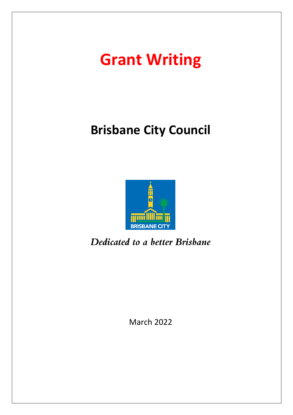# **Grant Writing**

## **Brisbane City Council**



Dedicated to a better Brisbane

March 2022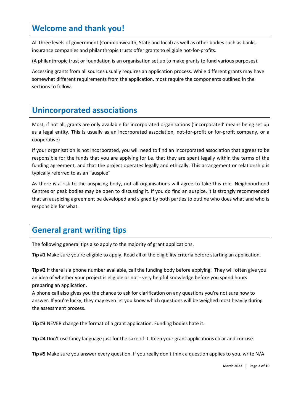## **Welcome and thank you!**

All three levels of government (Commonwealth, State and local) as well as other bodies such as banks, insurance companies and philanthropic trusts offer grants to eligible not-for-profits.

(A philanthropic trust or foundation is an organisation set up to make grants to fund various purposes).

Accessing grants from all sources usually requires an application process. While different grants may have somewhat different requirements from the application, most require the components outlined in the sections to follow.

## **Unincorporated associations**

Most, if not all, grants are only available for incorporated organisations ('incorporated' means being set up as a legal entity. This is usually as an incorporated association, not-for-profit or for-profit company, or a cooperative)

If your organisation is not incorporated, you will need to find an incorporated association that agrees to be responsible for the funds that you are applying for i.e. that they are spent legally within the terms of the funding agreement, and that the project operates legally and ethically. This arrangement or relationship is typically referred to as an "auspice"

As there is a risk to the auspicing body, not all organisations will agree to take this role. Neighbourhood Centres or peak bodies may be open to discussing it. If you do find an auspice, it is strongly recommended that an auspicing agreement be developed and signed by both parties to outline who does what and who is responsible for what.

## **General grant writing tips**

The following general tips also apply to the majority of grant applications.

**Tip #1** Make sure you're eligible to apply. Read all of the eligibility criteria before starting an application.

**Tip #2** If there is a phone number available, call the funding body before applying. They will often give you an idea of whether your project is eligible or not - very helpful knowledge before you spend hours preparing an application.

A phone call also gives you the chance to ask for clarification on any questions you're not sure how to answer. If you're lucky, they may even let you know which questions will be weighed most heavily during the assessment process.

**Tip #3** NEVER change the format of a grant application. Funding bodies hate it.

**Tip #4** Don't use fancy language just for the sake of it. Keep your grant applications clear and concise.

**Tip #5** Make sure you answer every question. If you really don't think a question applies to you, write N/A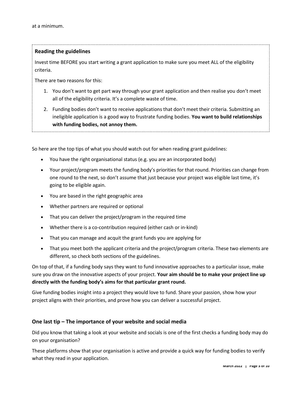#### **Reading the guidelines**

Invest time BEFORE you start writing a grant application to make sure you meet ALL of the eligibility criteria.

There are two reasons for this:

- 1. You don't want to get part way through your grant application and then realise you don't meet all of the eligibility criteria. It's a complete waste of time.
- 2. Funding bodies don't want to receive applications that don't meet their criteria. Submitting an ineligible application is a good way to frustrate funding bodies. **You want to build relationships with funding bodies, not annoy them.**

So here are the top tips of what you should watch out for when reading grant guidelines:

- You have the right organisational status (e.g. you are an incorporated body)
- Your project/program meets the funding body's priorities for that round. Priorities can change from one round to the next, so don't assume that just because your project was eligible last time, it's going to be eligible again.
- You are based in the right geographic area
- Whether partners are required or optional
- That you can deliver the project/program in the required time
- Whether there is a co-contribution required (either cash or in-kind)
- That you can manage and acquit the grant funds you are applying for
- That you meet both the applicant criteria and the project/program criteria. These two elements are different, so check both sections of the guidelines.

On top of that, if a funding body says they want to fund innovative approaches to a particular issue, make sure you draw on the innovative aspects of your project. **Your aim should be to make your project line up directly with the funding body's aims for that particular grant round.**

Give funding bodies insight into a project they would love to fund. Share your passion, show how your project aligns with their priorities, and prove how you can deliver a successful project.

#### **One last tip – The importance of your website and social media**

Did you know that taking a look at your website and socials is one of the first checks a funding body may do on your organisation?

These platforms show that your organisation is active and provide a quick way for funding bodies to verify what they read in your application.

**March 2022 | Page 3 of 10**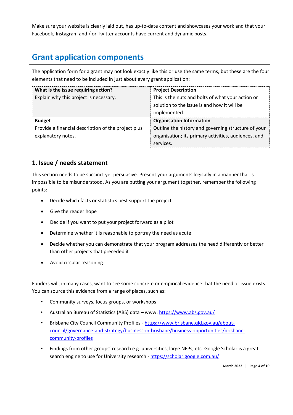Make sure your website is clearly laid out, has up-to-date content and showcases your work and that your Facebook, Instagram and / or Twitter accounts have current and dynamic posts.

## **Grant application components**

The application form for a grant may not look exactly like this or use the same terms, but these are the four elements that need to be included in just about every grant application:

| What is the issue requiring action?                 | <b>Project Description</b>                           |
|-----------------------------------------------------|------------------------------------------------------|
| Explain why this project is necessary.              | This is the nuts and bolts of what your action or    |
|                                                     | solution to the issue is and how it will be          |
|                                                     | implemented.                                         |
| <b>Budget</b>                                       | <b>Organisation Information</b>                      |
| Provide a financial description of the project plus | Outline the history and governing structure of your  |
| explanatory notes.                                  | organisation; its primary activities, audiences, and |
|                                                     | services.                                            |

#### **1. Issue / needs statement**

This section needs to be succinct yet persuasive. Present your arguments logically in a manner that is impossible to be misunderstood. As you are putting your argument together, remember the following points:

- Decide which facts or statistics best support the project
- Give the reader hope
- Decide if you want to put your project forward as a pilot
- Determine whether it is reasonable to portray the need as acute
- Decide whether you can demonstrate that your program addresses the need differently or better than other projects that preceded it
- Avoid circular reasoning.

Funders will, in many cases, want to see some concrete or empirical evidence that the need or issue exists. You can source this evidence from a range of places, such as:

- Community surveys, focus groups, or workshops
- Australian Bureau of Statistics (ABS) data www.<https://www.abs.gov.au/>
- Brisbane City Council Community Profiles [https://www.brisbane.qld.gov.au/about](https://www.brisbane.qld.gov.au/about-council/governance-and-strategy/business-in-brisbane/business-opportunities/brisbane-community-profiles)[council/governance-and-strategy/business-in-brisbane/business-opportunities/brisbane](https://www.brisbane.qld.gov.au/about-council/governance-and-strategy/business-in-brisbane/business-opportunities/brisbane-community-profiles)[community-profiles](https://www.brisbane.qld.gov.au/about-council/governance-and-strategy/business-in-brisbane/business-opportunities/brisbane-community-profiles)
- Findings from other groups' research e.g. universities, large NFPs, etc. Google Scholar is a great search engine to use for University research - <https://scholar.google.com.au/>

**March 2022 | Page 4 of 10**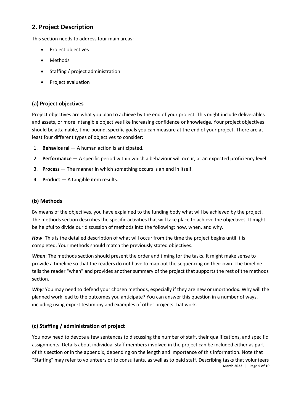#### **2. Project Description**

This section needs to address four main areas:

- Project objectives
- Methods
- Staffing / project administration
- Project evaluation

#### **(a) Project objectives**

Project objectives are what you plan to achieve by the end of your project. This might include deliverables and assets, or more intangible objectives like increasing confidence or knowledge. Your project objectives should be attainable, time-bound, specific goals you can measure at the end of your project. There are at least four different types of objectives to consider:

- 1. **Behavioural** A human action is anticipated.
- 2. **Performance** A specific period within which a behaviour will occur, at an expected proficiency level
- 3. **Process** The manner in which something occurs is an end in itself.
- 4. **Product** A tangible item results.

#### **(b) Methods**

By means of the objectives, you have explained to the funding body what will be achieved by the project. The methods section describes the specific activities that will take place to achieve the objectives. It might be helpful to divide our discussion of methods into the following: how, when, and why.

*How*: This is the detailed description of what will occur from the time the project begins until it is completed. Your methods should match the previously stated objectives.

*When*: The methods section should present the order and timing for the tasks. It might make sense to provide a timeline so that the readers do not have to map out the sequencing on their own. The timeline tells the reader "when" and provides another summary of the project that supports the rest of the methods section.

Why: You may need to defend your chosen methods, especially if they are new or unorthodox. Why will the planned work lead to the outcomes you anticipate? You can answer this question in a number of ways, including using expert testimony and examples of other projects that work.

#### **(c) Staffing / administration of project**

**March 2022 | Page 5 of 10** You now need to devote a few sentences to discussing the number of staff, their qualifications, and specific assignments. Details about individual staff members involved in the project can be included either as part of this section or in the appendix, depending on the length and importance of this information. Note that "Staffing" may refer to volunteers or to consultants, as well as to paid staff. Describing tasks that volunteers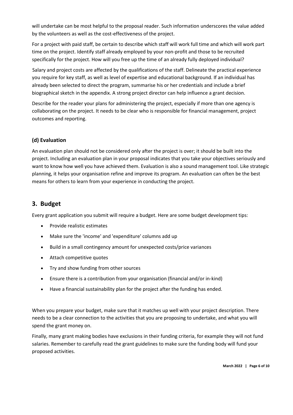will undertake can be most helpful to the proposal reader. Such information underscores the value added by the volunteers as well as the cost-effectiveness of the project.

For a project with paid staff, be certain to describe which staff will work full time and which will work part time on the project. Identify staff already employed by your non-profit and those to be recruited specifically for the project. How will you free up the time of an already fully deployed individual?

Salary and project costs are affected by the qualifications of the staff. Delineate the practical experience you require for key staff, as well as level of expertise and educational background. If an individual has already been selected to direct the program, summarise his or her credentials and include a brief biographical sketch in the appendix. A strong project director can help influence a grant decision.

Describe for the reader your plans for administering the project, especially if more than one agency is collaborating on the project. It needs to be clear who is responsible for financial management, project outcomes and reporting.

#### **(d) Evaluation**

An evaluation plan should not be considered only after the project is over; it should be built into the project. Including an evaluation plan in your proposal indicates that you take your objectives seriously and want to know how well you have achieved them. Evaluation is also a sound management tool. Like strategic planning, it helps your organisation refine and improve its program. An evaluation can often be the best means for others to learn from your experience in conducting the project.

#### **3. Budget**

Every grant application you submit will require a budget. Here are some budget development tips:

- Provide realistic estimates
- Make sure the 'income' and 'expenditure' columns add up
- Build in a small contingency amount for unexpected costs/price variances
- Attach competitive quotes
- Try and show funding from other sources
- Ensure there is a contribution from your organisation (financial and/or in-kind)
- Have a financial sustainability plan for the project after the funding has ended.

When you prepare your budget, make sure that it matches up well with your project description. There needs to be a clear connection to the activities that you are proposing to undertake, and what you will spend the grant money on.

Finally, many grant making bodies have exclusions in their funding criteria, for example they will not fund salaries. Remember to carefully read the grant guidelines to make sure the funding body will fund your proposed activities.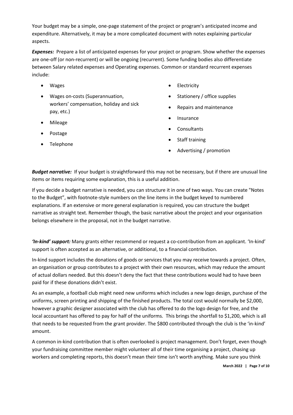Your budget may be a simple, one-page statement of the project or program's anticipated income and expenditure. Alternatively, it may be a more complicated document with notes explaining particular aspects.

**Expenses:** Prepare a list of anticipated expenses for your project or program. Show whether the expenses are one-off (or non-recurrent) or will be ongoing (recurrent). Some funding bodies also differentiate between Salary related expenses and Operating expenses. Common or standard recurrent expenses include:

- Wages
- Wages on-costs (Superannuation, workers' compensation, holiday and sick pay, etc.)
- Mileage
- Postage
- Telephone
- **Electricity**
- Stationery / office supplies
- Repairs and maintenance
- **Insurance**
- **Consultants**
- Staff training
- Advertising / promotion

*Budget narrative:* If your budget is straightforward this may not be necessary, but if there are unusual line items or items requiring some explanation, this is a useful addition.

If you decide a budget narrative is needed, you can structure it in one of two ways. You can create "Notes to the Budget", with footnote-style numbers on the line items in the budget keyed to numbered explanations. If an extensive or more general explanation is required, you can structure the budget narrative as straight text. Remember though, the basic narrative about the project and your organisation belongs elsewhere in the proposal, not in the budget narrative.

*'In-kind' support:* Many grants either recommend or request a co-contribution from an applicant. 'In-kind' support is often accepted as an alternative, or additional, to a financial contribution.

In-kind support includes the donations of goods or services that you may receive towards a project. Often, an organisation or group contributes to a project with their own resources, which may reduce the amount of actual dollars needed. But this doesn't deny the fact that these contributions would had to have been paid for if these donations didn't exist.

As an example, a football club might need new uniforms which includes a new logo design, purchase of the uniforms, screen printing and shipping of the finished products. The total cost would normally be \$2,000, however a graphic designer associated with the club has offered to do the logo design for free, and the local accountant has offered to pay for half of the uniforms. This brings the shortfall to \$1,200, which is all that needs to be requested from the grant provider. The \$800 contributed through the club is the 'in-kind' amount.

A common in-kind contribution that is often overlooked is project management. Don't forget, even though your fundraising committee member might volunteer all of their time organising a project, chasing up workers and completing reports, this doesn't mean their time isn't worth anything. Make sure you think

**March 2022 | Page 7 of 10**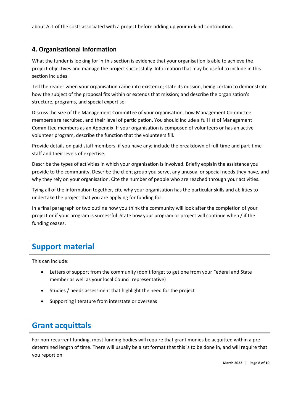about ALL of the costs associated with a project before adding up your in-kind contribution.

#### **4. Organisational Information**

What the funder is looking for in this section is evidence that your organisation is able to achieve the project objectives and manage the project successfully. Information that may be useful to include in this section includes:

Tell the reader when your organisation came into existence; state its mission, being certain to demonstrate how the subject of the proposal fits within or extends that mission; and describe the organisation's structure, programs, and special expertise.

Discuss the size of the Management Committee of your organisation, how Management Committee members are recruited, and their level of participation. You should include a full list of Management Committee members as an Appendix. If your organisation is composed of volunteers or has an active volunteer program, describe the function that the volunteers fill.

Provide details on paid staff members, if you have any; include the breakdown of full-time and part-time staff and their levels of expertise.

Describe the types of activities in which your organisation is involved. Briefly explain the assistance you provide to the community. Describe the client group you serve, any unusual or special needs they have, and why they rely on your organisation. Cite the number of people who are reached through your activities.

Tying all of the information together, cite why your organisation has the particular skills and abilities to undertake the project that you are applying for funding for.

In a final paragraph or two outline how you think the community will look after the completion of your project or if your program is successful. State how your program or project will continue when / if the funding ceases.

## **Support material**

This can include:

- Letters of support from the community (don't forget to get one from your Federal and State member as well as your local Council representative)
- Studies / needs assessment that highlight the need for the project
- Supporting literature from interstate or overseas

## **Grant acquittals**

For non-recurrent funding, most funding bodies will require that grant monies be acquitted within a predetermined length of time. There will usually be a set format that this is to be done in, and will require that you report on: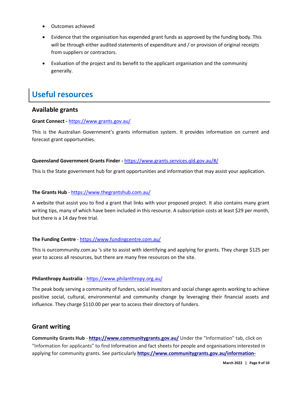- Outcomes achieved
- Evidence that the organisation has expended grant funds as approved by the funding body. This will be through either audited statements of expenditure and / or provision of original receipts from suppliers or contractors.
- Evaluation of the project and its benefit to the applicant organisation and the community generally.

## **Useful resources**

#### **Available grants**

#### **Grant Connect -** <https://www.grants.gov.au/>

This is the Australian Government's grants information system. It provides information on current and forecast grant opportunities.

#### **Queensland Government Grants Finder -** <https://www.grants.services.qld.gov.au/#/>

This is the State government hub for grant opportunities and information that may assist your application.

#### **The Grants Hub** - <https://www.thegrantshub.com.au/>

A website that assist you to find a grant that links with your proposed project. It also contains many grant writing tips, many of which have been included in this resource. A subscription costs at least \$29 per month, but there is a 14 day free trial.

#### **The Funding Centre** - <https://www.fundingcentre.com.au/>

This is ourcommunity.com.au 's site to assist with identifying and applying for grants. They charge \$125 per year to access all resources, but there are many free resources on the site.

#### **Philanthropy Australia** - <https://www.philanthropy.org.au/>

The peak body serving a community of funders, social investors and social change agents working to achieve positive social, cultural, environmental and community change by leveraging their financial assets and influence. They charge \$110.00 per year to access their directory of funders.

#### **Grant writing**

**Community Grants Hub** - **<https://www.communitygrants.gov.au/>** Under the "Information" tab, click on "Information for applicants" to find Information and fact sheets for people and organisations interested in applying for community grants. See particularly **[https://www.communitygrants.gov.au/information-](https://www.communitygrants.gov.au/information-applicants/what-makes-good-grant-application)**